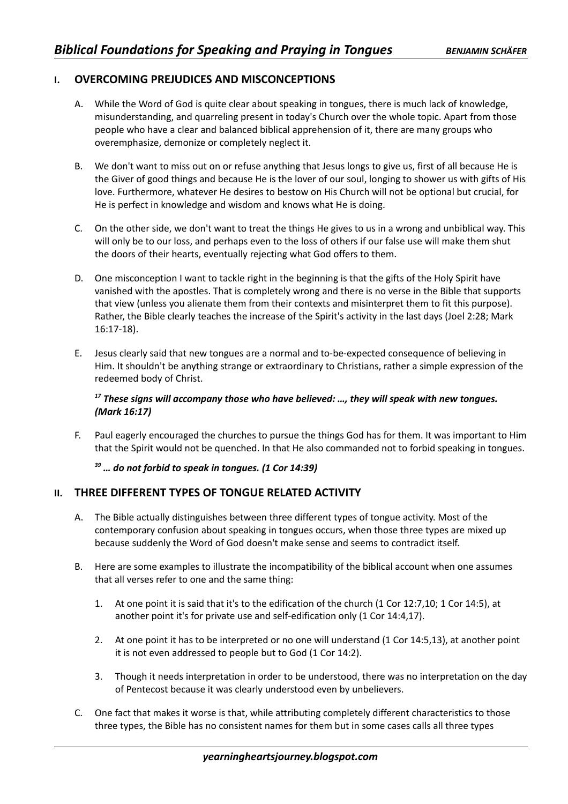## **I. OVERCOMING PREJUDICES AND MISCONCEPTIONS**

- A. While the Word of God is quite clear about speaking in tongues, there is much lack of knowledge, misunderstanding, and quarreling present in today's Church over the whole topic. Apart from those people who have a clear and balanced biblical apprehension of it, there are many groups who overemphasize, demonize or completely neglect it.
- B. We don't want to miss out on or refuse anything that Jesus longs to give us, first of all because He is the Giver of good things and because He is the lover of our soul, longing to shower us with gifts of His love. Furthermore, whatever He desires to bestow on His Church will not be optional but crucial, for He is perfect in knowledge and wisdom and knows what He is doing.
- C. On the other side, we don't want to treat the things He gives to us in a wrong and unbiblical way. This will only be to our loss, and perhaps even to the loss of others if our false use will make them shut the doors of their hearts, eventually rejecting what God offers to them.
- D. One misconception I want to tackle right in the beginning is that the gifts of the Holy Spirit have vanished with the apostles. That is completely wrong and there is no verse in the Bible that supports that view (unless you alienate them from their contexts and misinterpret them to fit this purpose). Rather, the Bible clearly teaches the increase of the Spirit's activity in the last days (Joel 2:28; Mark 16:17-18).
- E. Jesus clearly said that new tongues are a normal and to-be-expected consequence of believing in Him. It shouldn't be anything strange or extraordinary to Christians, rather a simple expression of the redeemed body of Christ.

## *<sup>17</sup> These signs will accompany those who have believed: …, they will speak with new tongues. (Mark 16:17)*

F. Paul eagerly encouraged the churches to pursue the things God has for them. It was important to Him that the Spirit would not be quenched. In that He also commanded not to forbid speaking in tongues.

#### *<sup>39</sup> … do not forbid to speak in tongues. (1 Cor 14:39)*

#### **II. THREE DIFFERENT TYPES OF TONGUE RELATED ACTIVITY**

- A. The Bible actually distinguishes between three different types of tongue activity. Most of the contemporary confusion about speaking in tongues occurs, when those three types are mixed up because suddenly the Word of God doesn't make sense and seems to contradict itself.
- B. Here are some examples to illustrate the incompatibility of the biblical account when one assumes that all verses refer to one and the same thing:
	- 1. At one point it is said that it's to the edification of the church (1 Cor 12:7,10; 1 Cor 14:5), at another point it's for private use and self-edification only (1 Cor 14:4,17).
	- 2. At one point it has to be interpreted or no one will understand (1 Cor 14:5,13), at another point it is not even addressed to people but to God (1 Cor 14:2).
	- 3. Though it needs interpretation in order to be understood, there was no interpretation on the day of Pentecost because it was clearly understood even by unbelievers.
- C. One fact that makes it worse is that, while attributing completely different characteristics to those three types, the Bible has no consistent names for them but in some cases calls all three types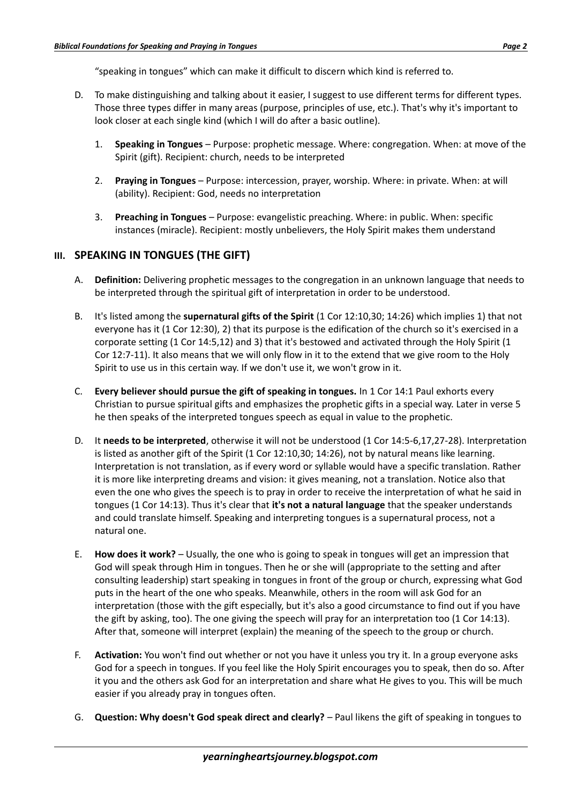"speaking in tongues" which can make it difficult to discern which kind is referred to.

- D. To make distinguishing and talking about it easier, I suggest to use different terms for different types. Those three types differ in many areas (purpose, principles of use, etc.). That's why it's important to look closer at each single kind (which I will do after a basic outline).
	- 1. **Speaking in Tongues** Purpose: prophetic message. Where: congregation. When: at move of the Spirit (gift). Recipient: church, needs to be interpreted
	- 2. **Praying in Tongues** Purpose: intercession, prayer, worship. Where: in private. When: at will (ability). Recipient: God, needs no interpretation
	- 3. **Preaching in Tongues** Purpose: evangelistic preaching. Where: in public. When: specific instances (miracle). Recipient: mostly unbelievers, the Holy Spirit makes them understand

# **III. SPEAKING IN TONGUES (THE GIFT)**

- A. **Definition:** Delivering prophetic messages to the congregation in an unknown language that needs to be interpreted through the spiritual gift of interpretation in order to be understood.
- B. It's listed among the **supernatural gifts of the Spirit** (1 Cor 12:10,30; 14:26) which implies 1) that not everyone has it (1 Cor 12:30), 2) that its purpose is the edification of the church so it's exercised in a corporate setting (1 Cor 14:5,12) and 3) that it's bestowed and activated through the Holy Spirit (1 Cor 12:7-11). It also means that we will only flow in it to the extend that we give room to the Holy Spirit to use us in this certain way. If we don't use it, we won't grow in it.
- C. **Every believer should pursue the gift of speaking in tongues.** In 1 Cor 14:1 Paul exhorts every Christian to pursue spiritual gifts and emphasizes the prophetic gifts in a special way. Later in verse 5 he then speaks of the interpreted tongues speech as equal in value to the prophetic.
- D. It **needs to be interpreted**, otherwise it will not be understood (1 Cor 14:5-6,17,27-28). Interpretation is listed as another gift of the Spirit (1 Cor 12:10,30; 14:26), not by natural means like learning. Interpretation is not translation, as if every word or syllable would have a specific translation. Rather it is more like interpreting dreams and vision: it gives meaning, not a translation. Notice also that even the one who gives the speech is to pray in order to receive the interpretation of what he said in tongues (1 Cor 14:13). Thus it's clear that **it's not a natural language** that the speaker understands and could translate himself. Speaking and interpreting tongues is a supernatural process, not a natural one.
- E. **How does it work?** Usually, the one who is going to speak in tongues will get an impression that God will speak through Him in tongues. Then he or she will (appropriate to the setting and after consulting leadership) start speaking in tongues in front of the group or church, expressing what God puts in the heart of the one who speaks. Meanwhile, others in the room will ask God for an interpretation (those with the gift especially, but it's also a good circumstance to find out if you have the gift by asking, too). The one giving the speech will pray for an interpretation too (1 Cor 14:13). After that, someone will interpret (explain) the meaning of the speech to the group or church.
- F. **Activation:** You won't find out whether or not you have it unless you try it. In a group everyone asks God for a speech in tongues. If you feel like the Holy Spirit encourages you to speak, then do so. After it you and the others ask God for an interpretation and share what He gives to you. This will be much easier if you already pray in tongues often.
- G. **Question: Why doesn't God speak direct and clearly?** Paul likens the gift of speaking in tongues to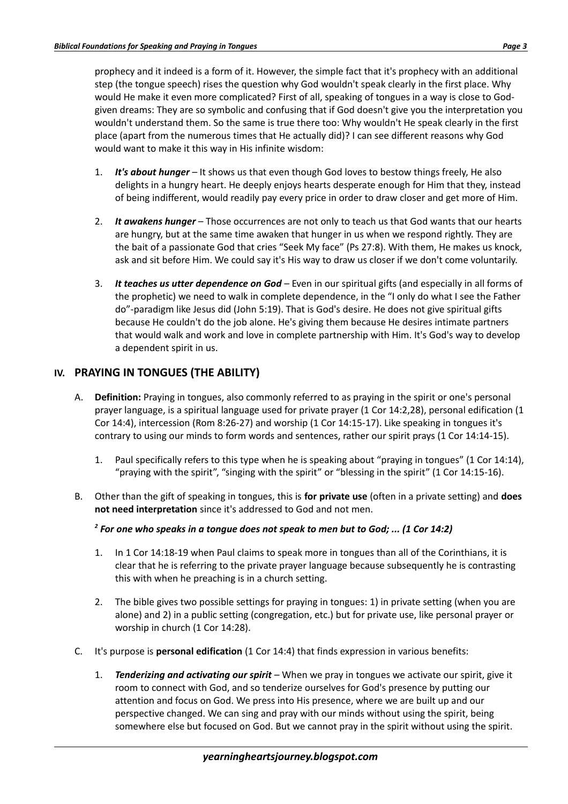prophecy and it indeed is a form of it. However, the simple fact that it's prophecy with an additional step (the tongue speech) rises the question why God wouldn't speak clearly in the first place. Why would He make it even more complicated? First of all, speaking of tongues in a way is close to Godgiven dreams: They are so symbolic and confusing that if God doesn't give you the interpretation you wouldn't understand them. So the same is true there too: Why wouldn't He speak clearly in the first place (apart from the numerous times that He actually did)? I can see different reasons why God would want to make it this way in His infinite wisdom:

- 1. *It's about hunger* It shows us that even though God loves to bestow things freely, He also delights in a hungry heart. He deeply enjoys hearts desperate enough for Him that they, instead of being indifferent, would readily pay every price in order to draw closer and get more of Him.
- 2. *It awakens hunger* Those occurrences are not only to teach us that God wants that our hearts are hungry, but at the same time awaken that hunger in us when we respond rightly. They are the bait of a passionate God that cries "Seek My face" (Ps 27:8). With them, He makes us knock, ask and sit before Him. We could say it's His way to draw us closer if we don't come voluntarily.
- 3. *It teaches us utter dependence on God* Even in our spiritual gifts (and especially in all forms of the prophetic) we need to walk in complete dependence, in the "I only do what I see the Father do"-paradigm like Jesus did (John 5:19). That is God's desire. He does not give spiritual gifts because He couldn't do the job alone. He's giving them because He desires intimate partners that would walk and work and love in complete partnership with Him. It's God's way to develop a dependent spirit in us.

# **IV. PRAYING IN TONGUES (THE ABILITY)**

- A. **Definition:** Praying in tongues, also commonly referred to as praying in the spirit or one's personal prayer language, is a spiritual language used for private prayer (1 Cor 14:2,28), personal edification (1 Cor 14:4), intercession (Rom 8:26-27) and worship (1 Cor 14:15-17). Like speaking in tongues it's contrary to using our minds to form words and sentences, rather our spirit prays (1 Cor 14:14-15).
	- 1. Paul specifically refers to this type when he is speaking about "praying in tongues" (1 Cor 14:14), "praying with the spirit", "singing with the spirit" or "blessing in the spirit" (1 Cor 14:15-16).
- B. Other than the gift of speaking in tongues, this is **for private use** (often in a private setting) and **does not need interpretation** since it's addressed to God and not men.

## *2 For one who speaks in a tongue does not speak to men but to God; ... (1 Cor 14:2)*

- 1. In 1 Cor 14:18-19 when Paul claims to speak more in tongues than all of the Corinthians, it is clear that he is referring to the private prayer language because subsequently he is contrasting this with when he preaching is in a church setting.
- 2. The bible gives two possible settings for praying in tongues: 1) in private setting (when you are alone) and 2) in a public setting (congregation, etc.) but for private use, like personal prayer or worship in church (1 Cor 14:28).
- C. It's purpose is **personal edification** (1 Cor 14:4) that finds expression in various benefits:
	- 1. *Tenderizing and activating our spirit* When we pray in tongues we activate our spirit, give it room to connect with God, and so tenderize ourselves for God's presence by putting our attention and focus on God. We press into His presence, where we are built up and our perspective changed. We can sing and pray with our minds without using the spirit, being somewhere else but focused on God. But we cannot pray in the spirit without using the spirit.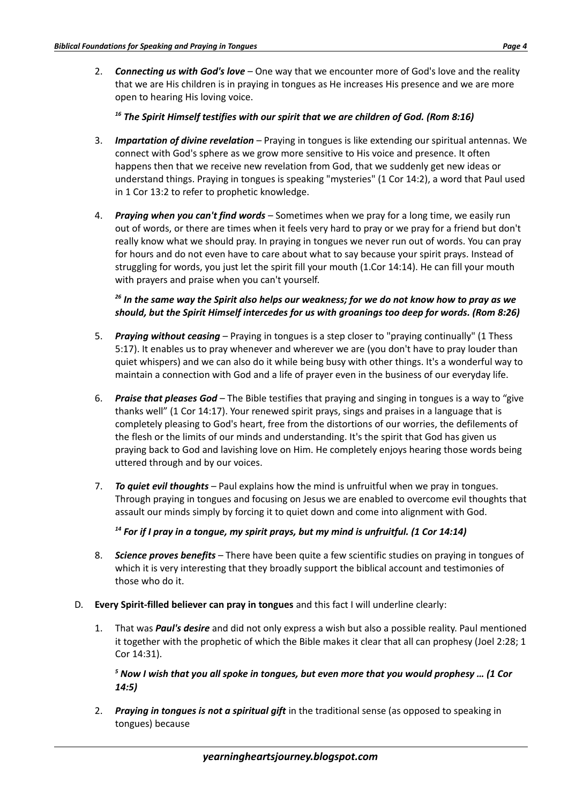2. *Connecting us with God's love* – One way that we encounter more of God's love and the reality that we are His children is in praying in tongues as He increases His presence and we are more open to hearing His loving voice.

## *<sup>16</sup> The Spirit Himself testifies with our spirit that we are children of God. (Rom 8:16)*

- 3. *Impartation of divine revelation* Praying in tongues is like extending our spiritual antennas. We connect with God's sphere as we grow more sensitive to His voice and presence. It often happens then that we receive new revelation from God, that we suddenly get new ideas or understand things. Praying in tongues is speaking "mysteries" (1 Cor 14:2), a word that Paul used in 1 Cor 13:2 to refer to prophetic knowledge.
- 4. *Praying when you can't find words* Sometimes when we pray for a long time, we easily run out of words, or there are times when it feels very hard to pray or we pray for a friend but don't really know what we should pray. In praying in tongues we never run out of words. You can pray for hours and do not even have to care about what to say because your spirit prays. Instead of struggling for words, you just let the spirit fill your mouth (1.Cor 14:14). He can fill your mouth with prayers and praise when you can't yourself.

## *<sup>26</sup> In the same way the Spirit also helps our weakness; for we do not know how to pray as we should, but the Spirit Himself intercedes for us with groanings too deep for words. (Rom 8:26)*

- 5. *Praying without ceasing* Praying in tongues is a step closer to "praying continually" (1 Thess 5:17). It enables us to pray whenever and wherever we are (you don't have to pray louder than quiet whispers) and we can also do it while being busy with other things. It's a wonderful way to maintain a connection with God and a life of prayer even in the business of our everyday life.
- 6. *Praise that pleases God* The Bible testifies that praying and singing in tongues is a way to "give thanks well" (1 Cor 14:17). Your renewed spirit prays, sings and praises in a language that is completely pleasing to God's heart, free from the distortions of our worries, the defilements of the flesh or the limits of our minds and understanding. It's the spirit that God has given us praying back to God and lavishing love on Him. He completely enjoys hearing those words being uttered through and by our voices.
- 7. *To quiet evil thoughts* Paul explains how the mind is unfruitful when we pray in tongues. Through praying in tongues and focusing on Jesus we are enabled to overcome evil thoughts that assault our minds simply by forcing it to quiet down and come into alignment with God.

## *<sup>14</sup> For if I pray in a tongue, my spirit prays, but my mind is unfruitful. (1 Cor 14:14)*

- 8. *Science proves benefits* There have been quite a few scientific studies on praying in tongues of which it is very interesting that they broadly support the biblical account and testimonies of those who do it.
- D. **Every Spirit-filled believer can pray in tongues** and this fact I will underline clearly:
	- 1. That was *Paul's desire* and did not only express a wish but also a possible reality. Paul mentioned it together with the prophetic of which the Bible makes it clear that all can prophesy (Joel 2:28; 1 Cor 14:31).

*5 Now I wish that you all spoke in tongues, but even more that you would prophesy … (1 Cor 14:5)*

2. *Praying in tongues is not a spiritual gift* in the traditional sense (as opposed to speaking in tongues) because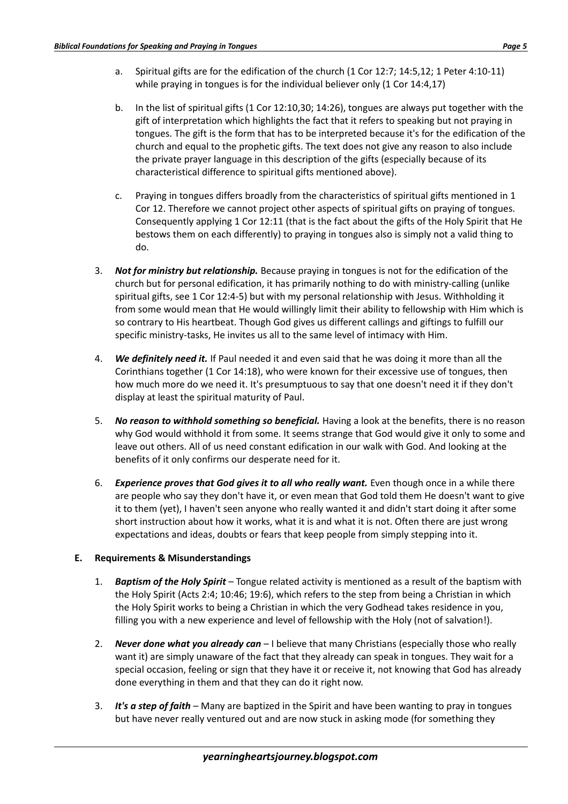- a. Spiritual gifts are for the edification of the church (1 Cor 12:7; 14:5,12; 1 Peter 4:10-11) while praying in tongues is for the individual believer only (1 Cor 14:4,17)
- b. In the list of spiritual gifts (1 Cor 12:10,30; 14:26), tongues are always put together with the gift of interpretation which highlights the fact that it refers to speaking but not praying in tongues. The gift is the form that has to be interpreted because it's for the edification of the church and equal to the prophetic gifts. The text does not give any reason to also include the private prayer language in this description of the gifts (especially because of its characteristical difference to spiritual gifts mentioned above).
- c. Praying in tongues differs broadly from the characteristics of spiritual gifts mentioned in 1 Cor 12. Therefore we cannot project other aspects of spiritual gifts on praying of tongues. Consequently applying 1 Cor 12:11 (that is the fact about the gifts of the Holy Spirit that He bestows them on each differently) to praying in tongues also is simply not a valid thing to do.
- 3. *Not for ministry but relationship.* Because praying in tongues is not for the edification of the church but for personal edification, it has primarily nothing to do with ministry-calling (unlike spiritual gifts, see 1 Cor 12:4-5) but with my personal relationship with Jesus. Withholding it from some would mean that He would willingly limit their ability to fellowship with Him which is so contrary to His heartbeat. Though God gives us different callings and giftings to fulfill our specific ministry-tasks, He invites us all to the same level of intimacy with Him.
- 4. *We definitely need it.* If Paul needed it and even said that he was doing it more than all the Corinthians together (1 Cor 14:18), who were known for their excessive use of tongues, then how much more do we need it. It's presumptuous to say that one doesn't need it if they don't display at least the spiritual maturity of Paul.
- 5. *No reason to withhold something so beneficial.* Having a look at the benefits, there is no reason why God would withhold it from some. It seems strange that God would give it only to some and leave out others. All of us need constant edification in our walk with God. And looking at the benefits of it only confirms our desperate need for it.
- 6. *Experience proves that God gives it to all who really want.* Even though once in a while there are people who say they don't have it, or even mean that God told them He doesn't want to give it to them (yet), I haven't seen anyone who really wanted it and didn't start doing it after some short instruction about how it works, what it is and what it is not. Often there are just wrong expectations and ideas, doubts or fears that keep people from simply stepping into it.

## **E. Requirements & Misunderstandings**

- 1. *Baptism of the Holy Spirit* Tongue related activity is mentioned as a result of the baptism with the Holy Spirit (Acts 2:4; 10:46; 19:6), which refers to the step from being a Christian in which the Holy Spirit works to being a Christian in which the very Godhead takes residence in you, filling you with a new experience and level of fellowship with the Holy (not of salvation!).
- 2. *Never done what you already can* I believe that many Christians (especially those who really want it) are simply unaware of the fact that they already can speak in tongues. They wait for a special occasion, feeling or sign that they have it or receive it, not knowing that God has already done everything in them and that they can do it right now.
- 3. *It's a step of faith* Many are baptized in the Spirit and have been wanting to pray in tongues but have never really ventured out and are now stuck in asking mode (for something they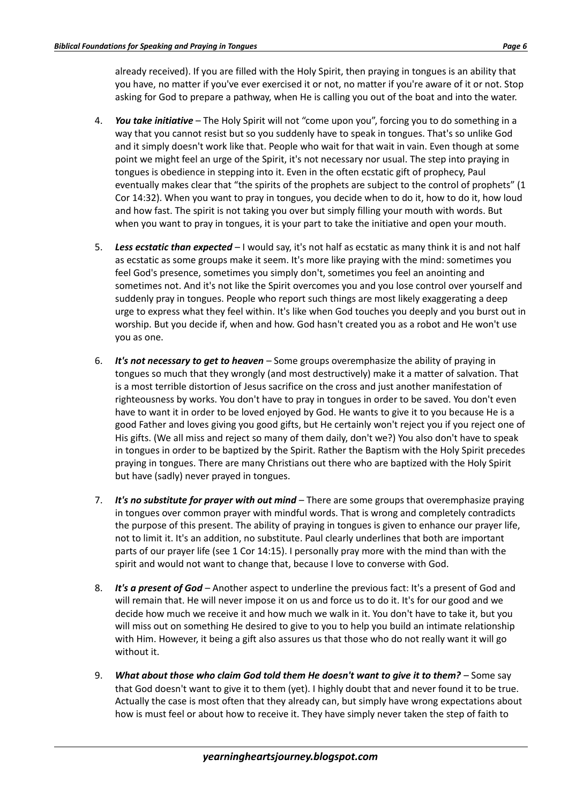already received). If you are filled with the Holy Spirit, then praying in tongues is an ability that you have, no matter if you've ever exercised it or not, no matter if you're aware of it or not. Stop asking for God to prepare a pathway, when He is calling you out of the boat and into the water.

- 4. *You take initiative*  The Holy Spirit will not "come upon you", forcing you to do something in a way that you cannot resist but so you suddenly have to speak in tongues. That's so unlike God and it simply doesn't work like that. People who wait for that wait in vain. Even though at some point we might feel an urge of the Spirit, it's not necessary nor usual. The step into praying in tongues is obedience in stepping into it. Even in the often ecstatic gift of prophecy, Paul eventually makes clear that "the spirits of the prophets are subject to the control of prophets" (1 Cor 14:32). When you want to pray in tongues, you decide when to do it, how to do it, how loud and how fast. The spirit is not taking you over but simply filling your mouth with words. But when you want to pray in tongues, it is your part to take the initiative and open your mouth.
- 5. *Less ecstatic than expected* I would say, it's not half as ecstatic as many think it is and not half as ecstatic as some groups make it seem. It's more like praying with the mind: sometimes you feel God's presence, sometimes you simply don't, sometimes you feel an anointing and sometimes not. And it's not like the Spirit overcomes you and you lose control over yourself and suddenly pray in tongues. People who report such things are most likely exaggerating a deep urge to express what they feel within. It's like when God touches you deeply and you burst out in worship. But you decide if, when and how. God hasn't created you as a robot and He won't use you as one.
- 6. *It's not necessary to get to heaven* Some groups overemphasize the ability of praying in tongues so much that they wrongly (and most destructively) make it a matter of salvation. That is a most terrible distortion of Jesus sacrifice on the cross and just another manifestation of righteousness by works. You don't have to pray in tongues in order to be saved. You don't even have to want it in order to be loved enjoyed by God. He wants to give it to you because He is a good Father and loves giving you good gifts, but He certainly won't reject you if you reject one of His gifts. (We all miss and reject so many of them daily, don't we?) You also don't have to speak in tongues in order to be baptized by the Spirit. Rather the Baptism with the Holy Spirit precedes praying in tongues. There are many Christians out there who are baptized with the Holy Spirit but have (sadly) never prayed in tongues.
- 7. *It's no substitute for prayer with out mind* There are some groups that overemphasize praying in tongues over common prayer with mindful words. That is wrong and completely contradicts the purpose of this present. The ability of praying in tongues is given to enhance our prayer life, not to limit it. It's an addition, no substitute. Paul clearly underlines that both are important parts of our prayer life (see 1 Cor 14:15). I personally pray more with the mind than with the spirit and would not want to change that, because I love to converse with God.
- 8. *It's a present of God* Another aspect to underline the previous fact: It's a present of God and will remain that. He will never impose it on us and force us to do it. It's for our good and we decide how much we receive it and how much we walk in it. You don't have to take it, but you will miss out on something He desired to give to you to help you build an intimate relationship with Him. However, it being a gift also assures us that those who do not really want it will go without it.
- 9. *What about those who claim God told them He doesn't want to give it to them?* Some say that God doesn't want to give it to them (yet). I highly doubt that and never found it to be true. Actually the case is most often that they already can, but simply have wrong expectations about how is must feel or about how to receive it. They have simply never taken the step of faith to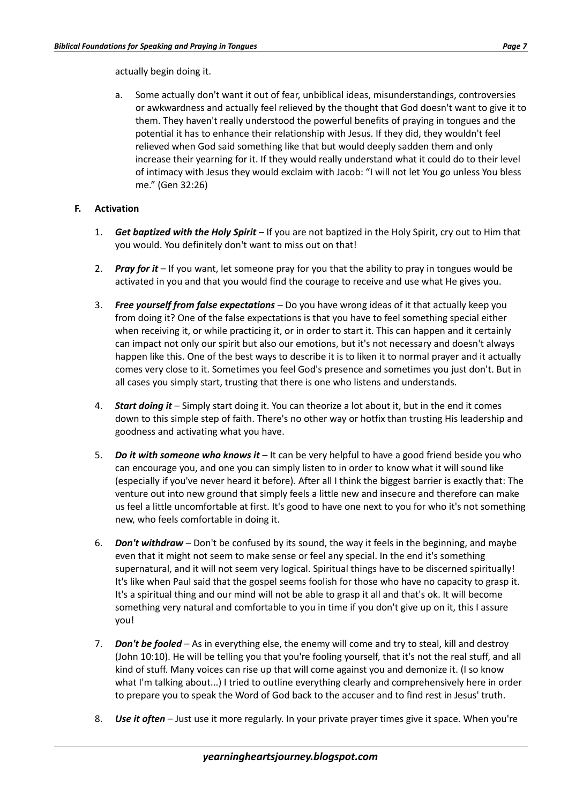actually begin doing it.

a. Some actually don't want it out of fear, unbiblical ideas, misunderstandings, controversies or awkwardness and actually feel relieved by the thought that God doesn't want to give it to them. They haven't really understood the powerful benefits of praying in tongues and the potential it has to enhance their relationship with Jesus. If they did, they wouldn't feel relieved when God said something like that but would deeply sadden them and only increase their yearning for it. If they would really understand what it could do to their level of intimacy with Jesus they would exclaim with Jacob: "I will not let You go unless You bless me." (Gen 32:26)

## **F. Activation**

- 1. *Get baptized with the Holy Spirit* If you are not baptized in the Holy Spirit, cry out to Him that you would. You definitely don't want to miss out on that!
- 2. *Pray for it* If you want, let someone pray for you that the ability to pray in tongues would be activated in you and that you would find the courage to receive and use what He gives you.
- 3. *Free yourself from false expectations*  Do you have wrong ideas of it that actually keep you from doing it? One of the false expectations is that you have to feel something special either when receiving it, or while practicing it, or in order to start it. This can happen and it certainly can impact not only our spirit but also our emotions, but it's not necessary and doesn't always happen like this. One of the best ways to describe it is to liken it to normal prayer and it actually comes very close to it. Sometimes you feel God's presence and sometimes you just don't. But in all cases you simply start, trusting that there is one who listens and understands.
- 4. *Start doing it*  Simply start doing it. You can theorize a lot about it, but in the end it comes down to this simple step of faith. There's no other way or hotfix than trusting His leadership and goodness and activating what you have.
- 5. *Do it with someone who knows it* It can be very helpful to have a good friend beside you who can encourage you, and one you can simply listen to in order to know what it will sound like (especially if you've never heard it before). After all I think the biggest barrier is exactly that: The venture out into new ground that simply feels a little new and insecure and therefore can make us feel a little uncomfortable at first. It's good to have one next to you for who it's not something new, who feels comfortable in doing it.
- 6. *Don't withdraw* Don't be confused by its sound, the way it feels in the beginning, and maybe even that it might not seem to make sense or feel any special. In the end it's something supernatural, and it will not seem very logical. Spiritual things have to be discerned spiritually! It's like when Paul said that the gospel seems foolish for those who have no capacity to grasp it. It's a spiritual thing and our mind will not be able to grasp it all and that's ok. It will become something very natural and comfortable to you in time if you don't give up on it, this I assure you!
- 7. *Don't be fooled* As in everything else, the enemy will come and try to steal, kill and destroy (John 10:10). He will be telling you that you're fooling yourself, that it's not the real stuff, and all kind of stuff. Many voices can rise up that will come against you and demonize it. (I so know what I'm talking about...) I tried to outline everything clearly and comprehensively here in order to prepare you to speak the Word of God back to the accuser and to find rest in Jesus' truth.
- 8. *Use it often* Just use it more regularly. In your private prayer times give it space. When you're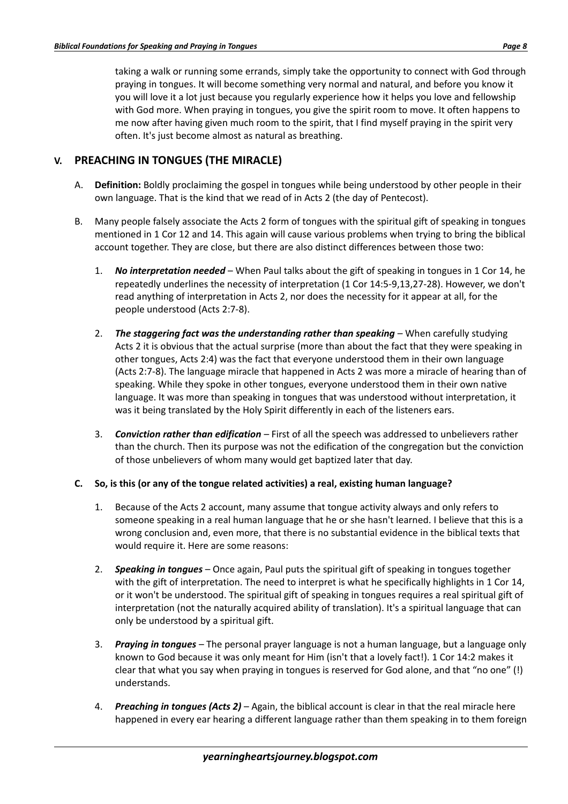taking a walk or running some errands, simply take the opportunity to connect with God through praying in tongues. It will become something very normal and natural, and before you know it you will love it a lot just because you regularly experience how it helps you love and fellowship with God more. When praying in tongues, you give the spirit room to move. It often happens to me now after having given much room to the spirit, that I find myself praying in the spirit very often. It's just become almost as natural as breathing.

# **V. PREACHING IN TONGUES (THE MIRACLE)**

- A. **Definition:** Boldly proclaiming the gospel in tongues while being understood by other people in their own language. That is the kind that we read of in Acts 2 (the day of Pentecost).
- B. Many people falsely associate the Acts 2 form of tongues with the spiritual gift of speaking in tongues mentioned in 1 Cor 12 and 14. This again will cause various problems when trying to bring the biblical account together. They are close, but there are also distinct differences between those two:
	- 1. *No interpretation needed*  When Paul talks about the gift of speaking in tongues in 1 Cor 14, he repeatedly underlines the necessity of interpretation (1 Cor 14:5-9,13,27-28). However, we don't read anything of interpretation in Acts 2, nor does the necessity for it appear at all, for the people understood (Acts 2:7-8).
	- 2. **The staggering fact was the understanding rather than speaking** When carefully studying Acts 2 it is obvious that the actual surprise (more than about the fact that they were speaking in other tongues, Acts 2:4) was the fact that everyone understood them in their own language (Acts 2:7-8). The language miracle that happened in Acts 2 was more a miracle of hearing than of speaking. While they spoke in other tongues, everyone understood them in their own native language. It was more than speaking in tongues that was understood without interpretation, it was it being translated by the Holy Spirit differently in each of the listeners ears.
	- 3. *Conviction rather than edification* First of all the speech was addressed to unbelievers rather than the church. Then its purpose was not the edification of the congregation but the conviction of those unbelievers of whom many would get baptized later that day.

#### **C. So, is this (or any of the tongue related activities) a real, existing human language?**

- 1. Because of the Acts 2 account, many assume that tongue activity always and only refers to someone speaking in a real human language that he or she hasn't learned. I believe that this is a wrong conclusion and, even more, that there is no substantial evidence in the biblical texts that would require it. Here are some reasons:
- 2. *Speaking in tongues* Once again, Paul puts the spiritual gift of speaking in tongues together with the gift of interpretation. The need to interpret is what he specifically highlights in 1 Cor 14, or it won't be understood. The spiritual gift of speaking in tongues requires a real spiritual gift of interpretation (not the naturally acquired ability of translation). It's a spiritual language that can only be understood by a spiritual gift.
- 3. *Praying in tongues* The personal prayer language is not a human language, but a language only known to God because it was only meant for Him (isn't that a lovely fact!). 1 Cor 14:2 makes it clear that what you say when praying in tongues is reserved for God alone, and that "no one" (!) understands.
- 4. *Preaching in tongues (Acts 2)* Again, the biblical account is clear in that the real miracle here happened in every ear hearing a different language rather than them speaking in to them foreign